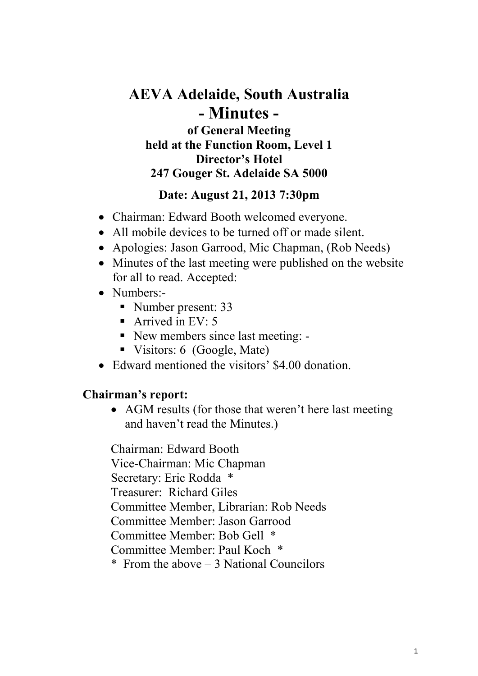# **AEVA Adelaide, South Australia - Minutes of General Meeting**

**held at the Function Room, Level 1 Director's Hotel 247 Gouger St. Adelaide SA 5000**

### **Date: August 21, 2013 7:30pm**

- Chairman: Edward Booth welcomed everyone.
- All mobile devices to be turned off or made silent.
- Apologies: Jason Garrood, Mic Chapman, (Rob Needs)
- Minutes of the last meeting were published on the website for all to read. Accepted:
- Numbers:-
	- Number present: 33
	- Arrived in  $EV: 5$
	- New members since last meeting: -
	- Visitors: 6 (Google, Mate)
- Edward mentioned the visitors' \$4.00 donation.

# **Chairman's report:**

• AGM results (for those that weren't here last meeting and haven't read the Minutes.)

Chairman: Edward Booth Vice-Chairman: Mic Chapman Secretary: Eric Rodda \* Treasurer: Richard Giles Committee Member, Librarian: Rob Needs Committee Member: Jason Garrood Committee Member: Bob Gell \* Committee Member: Paul Koch \* \* From the above – 3 National Councilors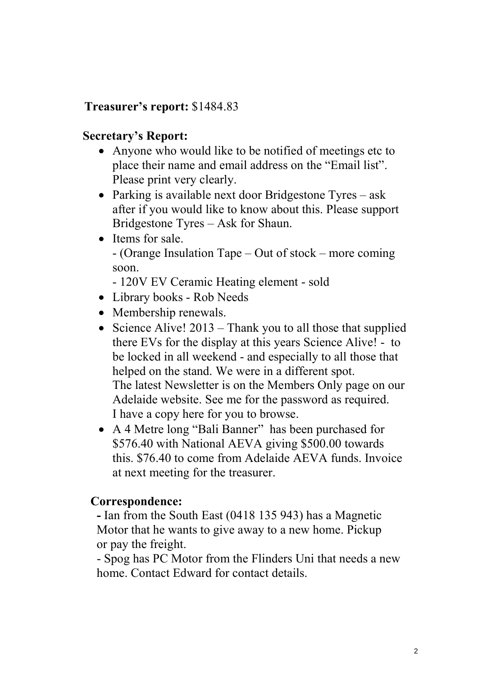## **Treasurer's report:** \$1484.83

#### **Secretary's Report:**

- Anyone who would like to be notified of meetings etc to place their name and email address on the "Email list". Please print very clearly.
- Parking is available next door Bridgestone Tyres ask after if you would like to know about this. Please support Bridgestone Tyres – Ask for Shaun.
- Items for sale. - (Orange Insulation Tape – Out of stock – more coming soon.
	- 120V EV Ceramic Heating element sold
- Library books Rob Needs
- Membership renewals.
- Science Alive!  $2013$  Thank you to all those that supplied there EVs for the display at this years Science Alive! - to be locked in all weekend - and especially to all those that helped on the stand. We were in a different spot. The latest Newsletter is on the Members Only page on our Adelaide website. See me for the password as required. I have a copy here for you to browse.
- A 4 Metre long "Bali Banner" has been purchased for \$576.40 with National AEVA giving \$500.00 towards this. \$76.40 to come from Adelaide AEVA funds. Invoice at next meeting for the treasurer.

#### **Correspondence:**

 **-** Ian from the South East (0418 135 943) has a Magnetic Motor that he wants to give away to a new home. Pickup or pay the freight.

 - Spog has PC Motor from the Flinders Uni that needs a new home. Contact Edward for contact details.